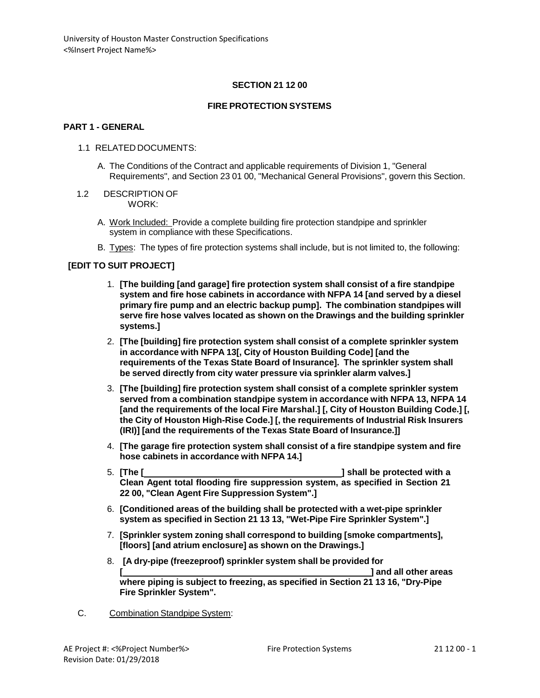## **SECTION 21 12 00**

### **FIRE PROTECTION SYSTEMS**

### **PART 1 - GENERAL**

#### 1.1 RELATED DOCUMENTS:

A. The Conditions of the Contract and applicable requirements of Division 1, "General Requirements", and Section 23 01 00, "Mechanical General Provisions", govern this Section.

#### 1.2 DESCRIPTION OF WORK:

- A. Work Included: Provide a complete building fire protection standpipe and sprinkler system in compliance with these Specifications.
- B. Types: The types of fire protection systems shall include, but is not limited to, the following:

### **[EDIT TO SUIT PROJECT]**

- 1. **[The building [and garage] fire protection system shall consist of a fire standpipe system and fire hose cabinets in accordance with NFPA 14 [and served by a diesel primary fire pump and an electric backup pump]. The combination standpipes will serve fire hose valves located as shown on the Drawings and the building sprinkler systems.]**
- 2. **[The [building] fire protection system shall consist of a complete sprinkler system in accordance with NFPA 13[, City of Houston Building Code] [and the requirements of the Texas State Board of Insurance]. The sprinkler system shall be served directly from city water pressure via sprinkler alarm valves.]**
- 3. **[The [building] fire protection system shall consist of a complete sprinkler system served from a combination standpipe system in accordance with NFPA 13, NFPA 14 [and the requirements of the local Fire Marshal.] [, City of Houston Building Code.] [, the City of Houston High-Rise Code.] [, the requirements of Industrial Risk Insurers (IRI)] [and the requirements of the Texas State Board of Insurance.]]**
- 4. **[The garage fire protection system shall consist of a fire standpipe system and fire hose cabinets in accordance with NFPA 14.]**
- 5. **[The [ ] shall be protected with a Clean Agent total flooding fire suppression system, as specified in Section 21 22 00, "Clean Agent Fire Suppression System".]**
- 6. **[Conditioned areas of the building shall be protected with a wet-pipe sprinkler system as specified in Section 21 13 13, "Wet-Pipe Fire Sprinkler System".]**
- 7. **[Sprinkler system zoning shall correspond to building [smoke compartments], [floors] [and atrium enclosure] as shown on the Drawings.]**
- 8. **[A dry-pipe (freezeproof) sprinkler system shall be provided for [ ] and all other areas where piping is subject to freezing, as specified in Section 21 13 16, "Dry-Pipe Fire Sprinkler System".**
- C. Combination Standpipe System: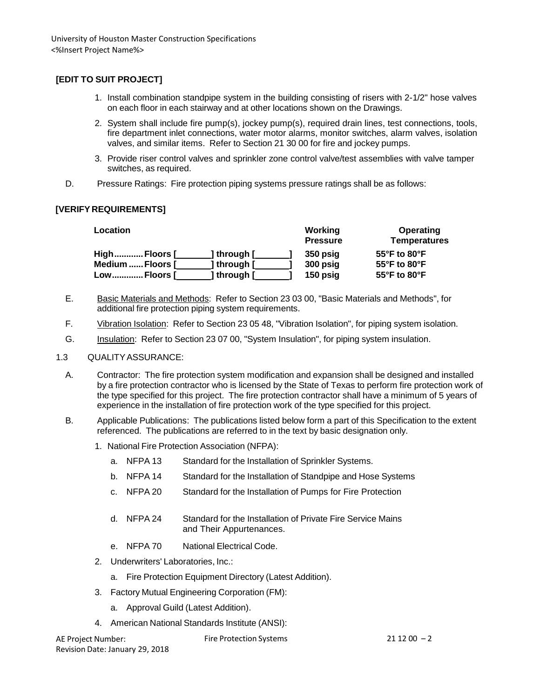## **[EDIT TO SUIT PROJECT]**

- 1. Install combination standpipe system in the building consisting of risers with 2-1/2" hose valves on each floor in each stairway and at other locations shown on the Drawings.
- 2. System shall include fire pump(s), jockey pump(s), required drain lines, test connections, tools, fire department inlet connections, water motor alarms, monitor switches, alarm valves, isolation valves, and similar items. Refer to Section 21 30 00 for fire and jockey pumps.
- 3. Provide riser control valves and sprinkler zone control valve/test assemblies with valve tamper switches, as required.
- D. Pressure Ratings: Fire protection piping systems pressure ratings shall be as follows:

## **[VERIFY REQUIREMENTS]**

| Location         |             | Working<br><b>Pressure</b> | Operating<br><b>Temperatures</b> |
|------------------|-------------|----------------------------|----------------------------------|
| HighFloors [     | ] through [ | 350 psig                   | $55^{\circ}$ F to $80^{\circ}$ F |
| Medium  Floors [ | ] through [ | 300 psig                   | 55°F to 80°F                     |
| LowFloors [      | ] through [ | 150 psig                   | $55^{\circ}$ F to $80^{\circ}$ F |

- E. Basic Materials and Methods: Refer to Section 23 03 00, "Basic Materials and Methods", for additional fire protection piping system requirements.
- F. Vibration Isolation: Refer to Section 23 05 48, "Vibration Isolation", for piping system isolation.
- G. Insulation: Refer to Section 23 07 00, "System Insulation", for piping system insulation.

### 1.3 QUALITYASSURANCE:

- A. Contractor: The fire protection system modification and expansion shall be designed and installed by a fire protection contractor who is licensed by the State of Texas to perform fire protection work of the type specified for this project. The fire protection contractor shall have a minimum of 5 years of experience in the installation of fire protection work of the type specified for this project.
- B. Applicable Publications: The publications listed below form a part of this Specification to the extent referenced. The publications are referred to in the text by basic designation only.
	- 1. National Fire Protection Association (NFPA):
		- a. NFPA 13 Standard for the Installation of Sprinkler Systems.
		- b. NFPA 14 Standard for the Installation of Standpipe and Hose Systems
		- c. NFPA 20 Standard for the Installation of Pumps for Fire Protection
		- d. NFPA 24 Standard for the Installation of Private Fire Service Mains and Their Appurtenances.
		- e. NFPA 70 National Electrical Code.
	- 2. Underwriters' Laboratories, Inc.:
		- a. Fire Protection Equipment Directory (Latest Addition).
	- 3. Factory Mutual Engineering Corporation (FM):
		- a. Approval Guild (Latest Addition).
	- 4. American National Standards Institute (ANSI):

| AE Project Number:              | <b>Fire Protection Systems</b> | $211200 - 2$ |
|---------------------------------|--------------------------------|--------------|
| Revision Date: January 29, 2018 |                                |              |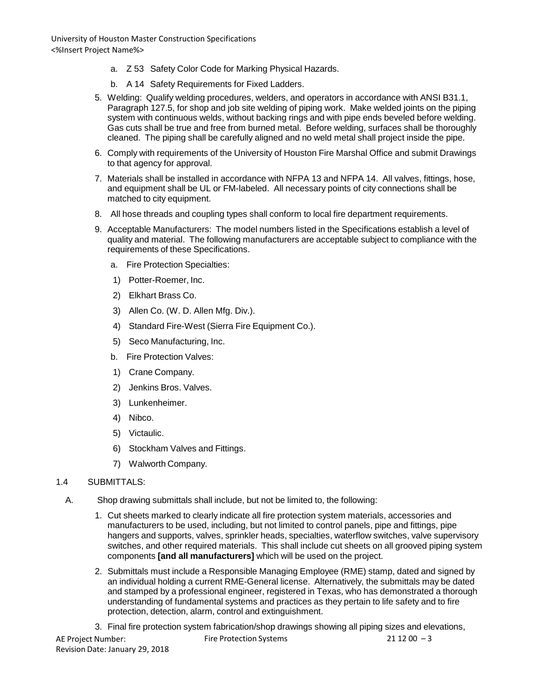- a. Z 53 Safety Color Code for Marking Physical Hazards.
- b. A 14 Safety Requirements for Fixed Ladders.
- 5. Welding: Qualify welding procedures, welders, and operators in accordance with ANSI B31.1, Paragraph 127.5, for shop and job site welding of piping work. Make welded joints on the piping system with continuous welds, without backing rings and with pipe ends beveled before welding. Gas cuts shall be true and free from burned metal. Before welding, surfaces shall be thoroughly cleaned. The piping shall be carefully aligned and no weld metal shall project inside the pipe.
- 6. Comply with requirements of the University of Houston Fire Marshal Office and submit Drawings to that agency for approval.
- 7. Materials shall be installed in accordance with NFPA 13 and NFPA 14. All valves, fittings, hose, and equipment shall be UL or FM-labeled. All necessary points of city connections shall be matched to city equipment.
- 8. All hose threads and coupling types shall conform to local fire department requirements.
- 9. Acceptable Manufacturers: The model numbers listed in the Specifications establish a level of quality and material. The following manufacturers are acceptable subject to compliance with the requirements of these Specifications.
	- a. Fire Protection Specialties:
	- 1) Potter-Roemer, Inc.
	- 2) Elkhart Brass Co.
	- 3) Allen Co. (W. D. Allen Mfg. Div.).
	- 4) Standard Fire-West (Sierra Fire Equipment Co.).
	- 5) Seco Manufacturing, Inc.
	- b. Fire Protection Valves:
	- 1) Crane Company.
	- 2) Jenkins Bros. Valves.
	- 3) Lunkenheimer.
	- 4) Nibco.
	- 5) Victaulic.
	- 6) Stockham Valves and Fittings.
	- 7) Walworth Company.

## 1.4 SUBMITTALS:

- A. Shop drawing submittals shall include, but not be limited to, the following:
	- 1. Cut sheets marked to clearly indicate all fire protection system materials, accessories and manufacturers to be used, including, but not limited to control panels, pipe and fittings, pipe hangers and supports, valves, sprinkler heads, specialties, waterflow switches, valve supervisory switches, and other required materials. This shall include cut sheets on all grooved piping system components **[and all manufacturers]** which will be used on the project.
	- 2. Submittals must include a Responsible Managing Employee (RME) stamp, dated and signed by an individual holding a current RME-General license. Alternatively, the submittals may be dated and stamped by a professional engineer, registered in Texas, who has demonstrated a thorough understanding of fundamental systems and practices as they pertain to life safety and to fire protection, detection, alarm, control and extinguishment.

AE Project Number: Revision Date: January 29, 2018 Fire Protection Systems 21 12 00  $-3$ 3. Final fire protection system fabrication/shop drawings showing all piping sizes and elevations,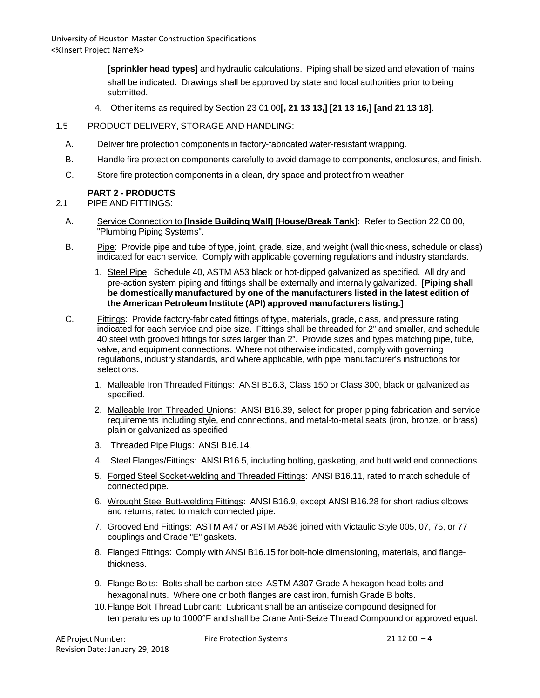> **[sprinkler head types]** and hydraulic calculations. Piping shall be sized and elevation of mains shall be indicated. Drawings shall be approved by state and local authorities prior to being submitted.

- 4. Other items as required by Section 23 01 00**[, 21 13 13,] [21 13 16,] [and 21 13 18]**.
- 1.5 PRODUCT DELIVERY, STORAGE AND HANDLING:
	- A. Deliver fire protection components in factory-fabricated water-resistant wrapping.
	- B. Handle fire protection components carefully to avoid damage to components, enclosures, and finish.
	- C. Store fire protection components in a clean, dry space and protect from weather.

### **PART 2 - PRODUCTS**

2.1 PIPE AND FITTINGS:

- A. Service Connection to **[Inside Building Wall] [House/Break Tank]**: Refer to Section 22 00 00, "Plumbing Piping Systems".
- B. Pipe: Provide pipe and tube of type, joint, grade, size, and weight (wall thickness, schedule or class) indicated for each service. Comply with applicable governing regulations and industry standards.
	- 1. Steel Pipe: Schedule 40, ASTM A53 black or hot-dipped galvanized as specified. All dry and pre-action system piping and fittings shall be externally and internally galvanized. **[Piping shall be domestically manufactured by one of the manufacturers listed in the latest edition of the American Petroleum Institute (API) approved manufacturers listing.]**
- C. Fittings: Provide factory-fabricated fittings of type, materials, grade, class, and pressure rating indicated for each service and pipe size. Fittings shall be threaded for 2" and smaller, and schedule 40 steel with grooved fittings for sizes larger than 2". Provide sizes and types matching pipe, tube, valve, and equipment connections. Where not otherwise indicated, comply with governing regulations, industry standards, and where applicable, with pipe manufacturer's instructions for selections.
	- 1. Malleable Iron Threaded Fittings: ANSI B16.3, Class 150 or Class 300, black or galvanized as specified.
	- 2. Malleable Iron Threaded Unions: ANSI B16.39, select for proper piping fabrication and service requirements including style, end connections, and metal-to-metal seats (iron, bronze, or brass), plain or galvanized as specified.
	- 3. Threaded Pipe Plugs: ANSI B16.14.
	- 4. Steel Flanges/Fittings: ANSI B16.5, including bolting, gasketing, and butt weld end connections.
	- 5. Forged Steel Socket-welding and Threaded Fittings: ANSI B16.11, rated to match schedule of connected pipe.
	- 6. Wrought Steel Butt-welding Fittings: ANSI B16.9, except ANSI B16.28 for short radius elbows and returns; rated to match connected pipe.
	- 7. Grooved End Fittings: ASTM A47 or ASTM A536 joined with Victaulic Style 005, 07, 75, or 77 couplings and Grade "E" gaskets.
	- 8. Flanged Fittings: Comply with ANSI B16.15 for bolt-hole dimensioning, materials, and flangethickness.
	- 9. Flange Bolts: Bolts shall be carbon steel ASTM A307 Grade A hexagon head bolts and hexagonal nuts. Where one or both flanges are cast iron, furnish Grade B bolts.
	- 10.Flange Bolt Thread Lubricant: Lubricant shall be an antiseize compound designed for temperatures up to 1000°F and shall be Crane Anti-Seize Thread Compound or approved equal.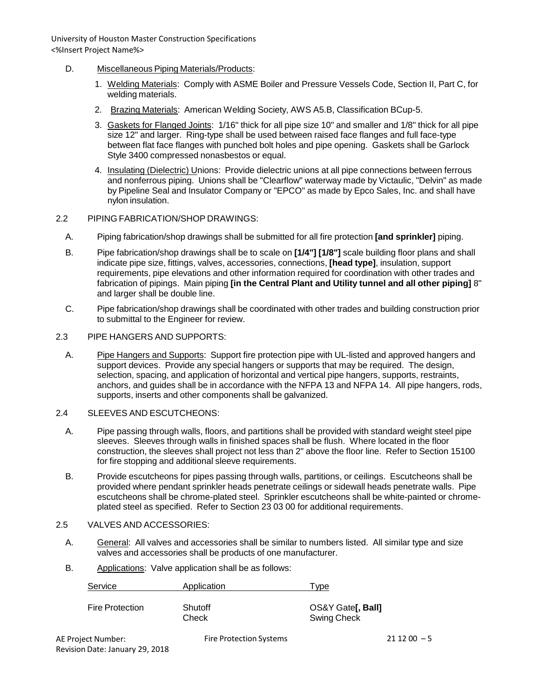- D. Miscellaneous Piping Materials/Products:
	- 1. Welding Materials: Comply with ASME Boiler and Pressure Vessels Code, Section II, Part C, for welding materials.
	- 2. Brazing Materials: American Welding Society, AWS A5.B, Classification BCup-5.
	- 3. Gaskets for Flanged Joints: 1/16" thick for all pipe size 10" and smaller and 1/8" thick for all pipe size 12" and larger. Ring-type shall be used between raised face flanges and full face-type between flat face flanges with punched bolt holes and pipe opening. Gaskets shall be Garlock Style 3400 compressed nonasbestos or equal.
	- 4. Insulating (Dielectric) Unions: Provide dielectric unions at all pipe connections between ferrous and nonferrous piping. Unions shall be "Clearflow" waterway made by Victaulic, "Delvin" as made by Pipeline Seal and Insulator Company or "EPCO" as made by Epco Sales, Inc. and shall have nylon insulation.
- 2.2 PIPING FABRICATION/SHOP DRAWINGS:
	- A. Piping fabrication/shop drawings shall be submitted for all fire protection **[and sprinkler]** piping.
	- B. Pipe fabrication/shop drawings shall be to scale on **[1/4"] [1/8"]** scale building floor plans and shall indicate pipe size, fittings, valves, accessories, connections, **[head type]**, insulation, support requirements, pipe elevations and other information required for coordination with other trades and fabrication of pipings. Main piping **[in the Central Plant and Utility tunnel and all other piping]** 8" and larger shall be double line.
	- C. Pipe fabrication/shop drawings shall be coordinated with other trades and building construction prior to submittal to the Engineer for review.
- 2.3 PIPE HANGERS AND SUPPORTS:
	- A. Pipe Hangers and Supports: Support fire protection pipe with UL-listed and approved hangers and support devices. Provide any special hangers or supports that may be required. The design, selection, spacing, and application of horizontal and vertical pipe hangers, supports, restraints, anchors, and guides shall be in accordance with the NFPA 13 and NFPA 14. All pipe hangers, rods, supports, inserts and other components shall be galvanized.
- 2.4 SLEEVES AND ESCUTCHEONS:
	- A. Pipe passing through walls, floors, and partitions shall be provided with standard weight steel pipe sleeves. Sleeves through walls in finished spaces shall be flush. Where located in the floor construction, the sleeves shall project not less than 2" above the floor line. Refer to Section 15100 for fire stopping and additional sleeve requirements.
	- B. Provide escutcheons for pipes passing through walls, partitions, or ceilings. Escutcheons shall be provided where pendant sprinkler heads penetrate ceilings or sidewall heads penetrate walls. Pipe escutcheons shall be chrome-plated steel. Sprinkler escutcheons shall be white-painted or chromeplated steel as specified. Refer to Section 23 03 00 for additional requirements.

### 2.5 VALVES AND ACCESSORIES:

- A. General: All valves and accessories shall be similar to numbers listed. All similar type and size valves and accessories shall be products of one manufacturer.
- B. Applications: Valve application shall be as follows:

| Service         | Application      | <b>Type</b>                                     |
|-----------------|------------------|-------------------------------------------------|
| Fire Protection | Shutoff<br>Check | OS&Y Gate <b>[, Ball]</b><br><b>Swing Check</b> |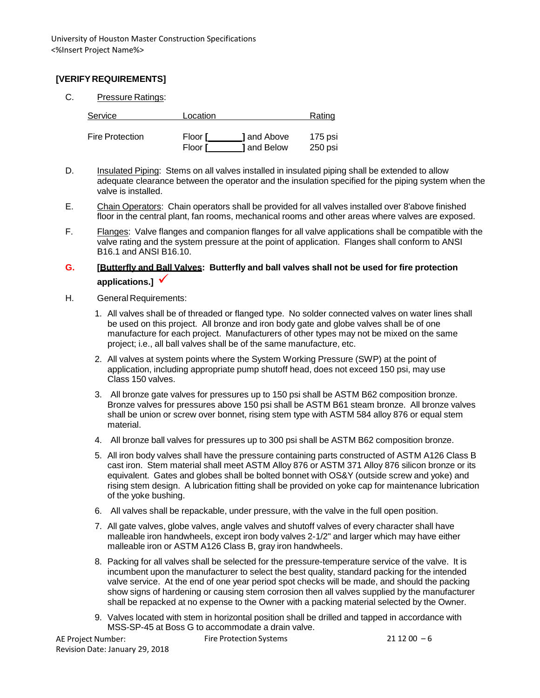# **[VERIFY REQUIREMENTS]**

C. Pressure Ratings:

| Service                | Location       |                    | Rating  |
|------------------------|----------------|--------------------|---------|
| <b>Fire Protection</b> | Floor <b>[</b> | <b>l</b> and Above | 175 psi |
|                        | Floor <b>F</b> | <b>1</b> and Below | 250 psi |

- D. Insulated Piping: Stems on all valves installed in insulated piping shall be extended to allow adequate clearance between the operator and the insulation specified for the piping system when the valve is installed.
- E. Chain Operators: Chain operators shall be provided for all valves installed over 8'above finished floor in the central plant, fan rooms, mechanical rooms and other areas where valves are exposed.
- F. **Flanges:** Valve flanges and companion flanges for all valve applications shall be compatible with the valve rating and the system pressure at the point of application. Flanges shall conform to ANSI B16.1 and ANSI B16.10.

# **G. [Butterfly and Ball Valves: Butterfly and ball valves shall not be used for fire protection applications.]**

- H. General Requirements:
	- 1. All valves shall be of threaded or flanged type. No solder connected valves on water lines shall be used on this project. All bronze and iron body gate and globe valves shall be of one manufacture for each project. Manufacturers of other types may not be mixed on the same project; i.e., all ball valves shall be of the same manufacture, etc.
	- 2. All valves at system points where the System Working Pressure (SWP) at the point of application, including appropriate pump shutoff head, does not exceed 150 psi, may use Class 150 valves.
	- 3. All bronze gate valves for pressures up to 150 psi shall be ASTM B62 composition bronze. Bronze valves for pressures above 150 psi shall be ASTM B61 steam bronze. All bronze valves shall be union or screw over bonnet, rising stem type with ASTM 584 alloy 876 or equal stem material.
	- 4. All bronze ball valves for pressures up to 300 psi shall be ASTM B62 composition bronze.
	- 5. All iron body valves shall have the pressure containing parts constructed of ASTM A126 Class B cast iron. Stem material shall meet ASTM Alloy 876 or ASTM 371 Alloy 876 silicon bronze or its equivalent. Gates and globes shall be bolted bonnet with OS&Y (outside screw and yoke) and rising stem design. A lubrication fitting shall be provided on yoke cap for maintenance lubrication of the yoke bushing.
	- 6. All valves shall be repackable, under pressure, with the valve in the full open position.
	- 7. All gate valves, globe valves, angle valves and shutoff valves of every character shall have malleable iron handwheels, except iron body valves 2-1/2" and larger which may have either malleable iron or ASTM A126 Class B, gray iron handwheels.
	- 8. Packing for all valves shall be selected for the pressure-temperature service of the valve. It is incumbent upon the manufacturer to select the best quality, standard packing for the intended valve service. At the end of one year period spot checks will be made, and should the packing show signs of hardening or causing stem corrosion then all valves supplied by the manufacturer shall be repacked at no expense to the Owner with a packing material selected by the Owner.
	- 9. Valves located with stem in horizontal position shall be drilled and tapped in accordance with MSS-SP-45 at Boss G to accommodate a drain valve.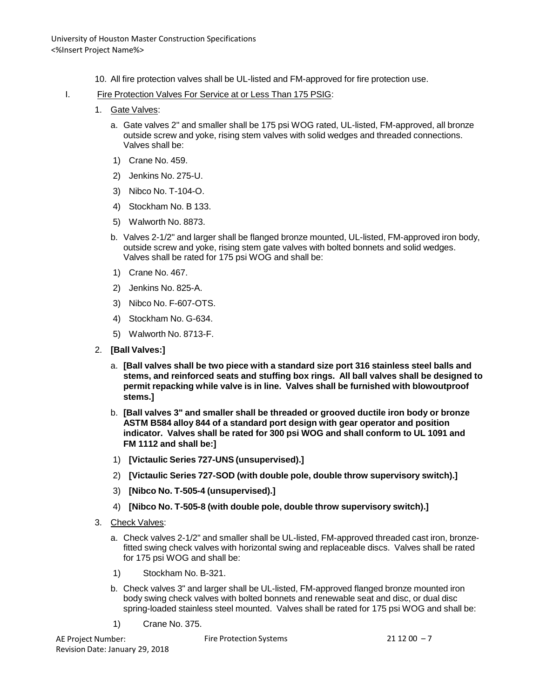- 10. All fire protection valves shall be UL-listed and FM-approved for fire protection use.
- I. Fire Protection Valves For Service at or Less Than 175 PSIG:
	- 1. Gate Valves:
		- a. Gate valves 2" and smaller shall be 175 psi WOG rated, UL-listed, FM-approved, all bronze outside screw and yoke, rising stem valves with solid wedges and threaded connections. Valves shall be:
		- 1) Crane No. 459.
		- 2) Jenkins No. 275-U.
		- 3) Nibco No. T-104-O.
		- 4) Stockham No. B 133.
		- 5) Walworth No. 8873.
		- b. Valves 2-1/2" and larger shall be flanged bronze mounted, UL-listed, FM-approved iron body, outside screw and yoke, rising stem gate valves with bolted bonnets and solid wedges. Valves shall be rated for 175 psi WOG and shall be:
		- 1) Crane No. 467.
		- 2) Jenkins No. 825-A.
		- 3) Nibco No. F-607-OTS.
		- 4) Stockham No. G-634.
		- 5) Walworth No. 8713-F.
	- 2. **[Ball Valves:]**
		- a. **[Ball valves shall be two piece with a standard size port 316 stainless steel balls and stems, and reinforced seats and stuffing box rings. All ball valves shall be designed to permit repacking while valve is in line. Valves shall be furnished with blowoutproof stems.]**
		- b. **[Ball valves 3" and smaller shall be threaded or grooved ductile iron body or bronze ASTM B584 alloy 844 of a standard port design with gear operator and position indicator. Valves shall be rated for 300 psi WOG and shall conform to UL 1091 and FM 1112 and shall be:]**
		- 1) **[Victaulic Series 727-UNS (unsupervised).]**
		- 2) **[Victaulic Series 727-SOD (with double pole, double throw supervisory switch).]**
		- 3) **[Nibco No. T-505-4 (unsupervised).]**
		- 4) **[Nibco No. T-505-8 (with double pole, double throw supervisory switch).]**
	- 3. Check Valves:
		- a. Check valves 2-1/2" and smaller shall be UL-listed, FM-approved threaded cast iron, bronzefitted swing check valves with horizontal swing and replaceable discs. Valves shall be rated for 175 psi WOG and shall be:
		- 1) Stockham No. B-321.
		- b. Check valves 3" and larger shall be UL-listed, FM-approved flanged bronze mounted iron body swing check valves with bolted bonnets and renewable seat and disc, or dual disc spring-loaded stainless steel mounted. Valves shall be rated for 175 psi WOG and shall be:
		- 1) Crane No. 375.

AE Project Number: Revision Date: January 29, 2018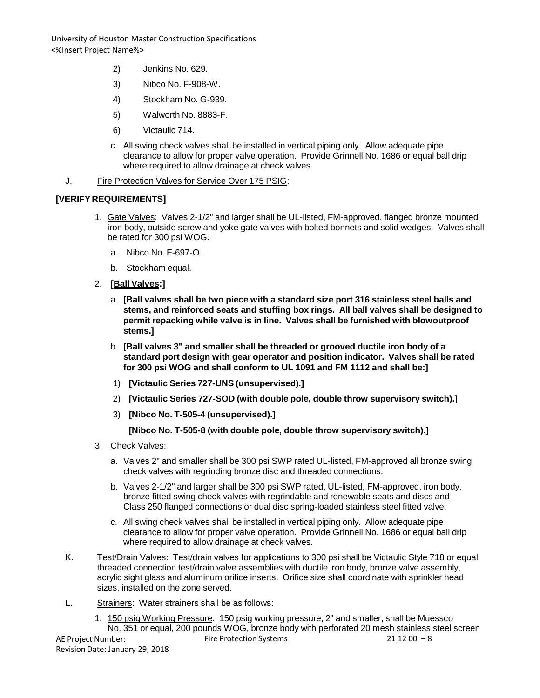- 2) Jenkins No. 629.
- 3) Nibco No. F-908-W.
- 4) Stockham No. G-939.
- 5) Walworth No. 8883-F.
- 6) Victaulic 714.
- c. All swing check valves shall be installed in vertical piping only. Allow adequate pipe clearance to allow for proper valve operation. Provide Grinnell No. 1686 or equal ball drip where required to allow drainage at check valves.
- J. Fire Protection Valves for Service Over 175 PSIG:

### **[VERIFY REQUIREMENTS]**

- 1. Gate Valves: Valves 2-1/2" and larger shall be UL-listed, FM-approved, flanged bronze mounted iron body, outside screw and yoke gate valves with bolted bonnets and solid wedges. Valves shall be rated for 300 psi WOG.
	- a. Nibco No. F-697-O.
	- b. Stockham equal.

### 2. **[Ball Valves:]**

- a. **[Ball valves shall be two piece with a standard size port 316 stainless steel balls and stems, and reinforced seats and stuffing box rings. All ball valves shall be designed to permit repacking while valve is in line. Valves shall be furnished with blowoutproof stems.]**
- b. **[Ball valves 3" and smaller shall be threaded or grooved ductile iron body of a standard port design with gear operator and position indicator. Valves shall be rated for 300 psi WOG and shall conform to UL 1091 and FM 1112 and shall be:]**
- 1) **[Victaulic Series 727-UNS (unsupervised).]**
- 2) **[Victaulic Series 727-SOD (with double pole, double throw supervisory switch).]**
- 3) **[Nibco No. T-505-4 (unsupervised).]**

### **[Nibco No. T-505-8 (with double pole, double throw supervisory switch).]**

- 3. Check Valves:
	- a. Valves 2" and smaller shall be 300 psi SWP rated UL-listed, FM-approved all bronze swing check valves with regrinding bronze disc and threaded connections.
	- b. Valves 2-1/2" and larger shall be 300 psi SWP rated, UL-listed, FM-approved, iron body, bronze fitted swing check valves with regrindable and renewable seats and discs and Class 250 flanged connections or dual disc spring-loaded stainless steel fitted valve.
	- c. All swing check valves shall be installed in vertical piping only. Allow adequate pipe clearance to allow for proper valve operation. Provide Grinnell No. 1686 or equal ball drip where required to allow drainage at check valves.
- K. Test/Drain Valves: Test/drain valves for applications to 300 psi shall be Victaulic Style 718 or equal threaded connection test/drain valve assemblies with ductile iron body, bronze valve assembly, acrylic sight glass and aluminum orifice inserts. Orifice size shall coordinate with sprinkler head sizes, installed on the zone served.
- L. Strainers: Water strainers shall be as follows:

AE Project Number: Revision Date: January 29, 2018 Fire Protection Systems  $21 12 00 - 8$ 1. 150 psig Working Pressure: 150 psig working pressure, 2" and smaller, shall be Muessco No. 351 or equal, 200 pounds WOG, bronze body with perforated 20 mesh stainless steel screen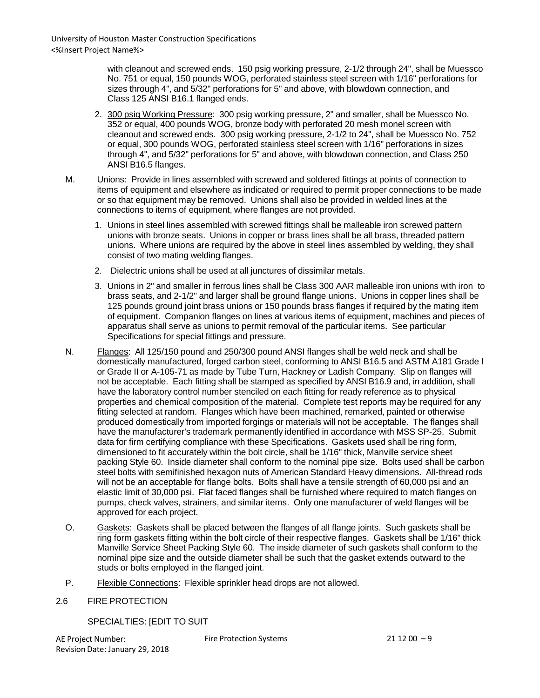with cleanout and screwed ends. 150 psig working pressure, 2-1/2 through 24", shall be Muessco No. 751 or equal, 150 pounds WOG, perforated stainless steel screen with 1/16" perforations for sizes through 4", and 5/32" perforations for 5" and above, with blowdown connection, and Class 125 ANSI B16.1 flanged ends.

- 2. 300 psig Working Pressure: 300 psig working pressure, 2" and smaller, shall be Muessco No. 352 or equal, 400 pounds WOG, bronze body with perforated 20 mesh monel screen with cleanout and screwed ends. 300 psig working pressure, 2-1/2 to 24", shall be Muessco No. 752 or equal, 300 pounds WOG, perforated stainless steel screen with 1/16" perforations in sizes through 4", and 5/32" perforations for 5" and above, with blowdown connection, and Class 250 ANSI B16.5 flanges.
- M. Unions: Provide in lines assembled with screwed and soldered fittings at points of connection to items of equipment and elsewhere as indicated or required to permit proper connections to be made or so that equipment may be removed. Unions shall also be provided in welded lines at the connections to items of equipment, where flanges are not provided.
	- 1. Unions in steel lines assembled with screwed fittings shall be malleable iron screwed pattern unions with bronze seats. Unions in copper or brass lines shall be all brass, threaded pattern unions. Where unions are required by the above in steel lines assembled by welding, they shall consist of two mating welding flanges.
	- 2. Dielectric unions shall be used at all junctures of dissimilar metals.
	- 3. Unions in 2" and smaller in ferrous lines shall be Class 300 AAR malleable iron unions with iron to brass seats, and 2-1/2" and larger shall be ground flange unions. Unions in copper lines shall be 125 pounds ground joint brass unions or 150 pounds brass flanges if required by the mating item of equipment. Companion flanges on lines at various items of equipment, machines and pieces of apparatus shall serve as unions to permit removal of the particular items. See particular Specifications for special fittings and pressure.
- N. Flanges: All 125/150 pound and 250/300 pound ANSI flanges shall be weld neck and shall be domestically manufactured, forged carbon steel, conforming to ANSI B16.5 and ASTM A181 Grade I or Grade II or A-105-71 as made by Tube Turn, Hackney or Ladish Company. Slip on flanges will not be acceptable. Each fitting shall be stamped as specified by ANSI B16.9 and, in addition, shall have the laboratory control number stenciled on each fitting for ready reference as to physical properties and chemical composition of the material. Complete test reports may be required for any fitting selected at random. Flanges which have been machined, remarked, painted or otherwise produced domestically from imported forgings or materials will not be acceptable. The flanges shall have the manufacturer's trademark permanently identified in accordance with MSS SP-25. Submit data for firm certifying compliance with these Specifications. Gaskets used shall be ring form, dimensioned to fit accurately within the bolt circle, shall be 1/16" thick, Manville service sheet packing Style 60. Inside diameter shall conform to the nominal pipe size. Bolts used shall be carbon steel bolts with semifinished hexagon nuts of American Standard Heavy dimensions. All-thread rods will not be an acceptable for flange bolts. Bolts shall have a tensile strength of 60,000 psi and an elastic limit of 30,000 psi. Flat faced flanges shall be furnished where required to match flanges on pumps, check valves, strainers, and similar items. Only one manufacturer of weld flanges will be approved for each project.
- O. Gaskets: Gaskets shall be placed between the flanges of all flange joints. Such gaskets shall be ring form gaskets fitting within the bolt circle of their respective flanges. Gaskets shall be 1/16" thick Manville Service Sheet Packing Style 60. The inside diameter of such gaskets shall conform to the nominal pipe size and the outside diameter shall be such that the gasket extends outward to the studs or bolts employed in the flanged joint.
- P. Flexible Connections: Flexible sprinkler head drops are not allowed.
- 2.6 FIRE PROTECTION

SPECIALTIES: [EDIT TO SUIT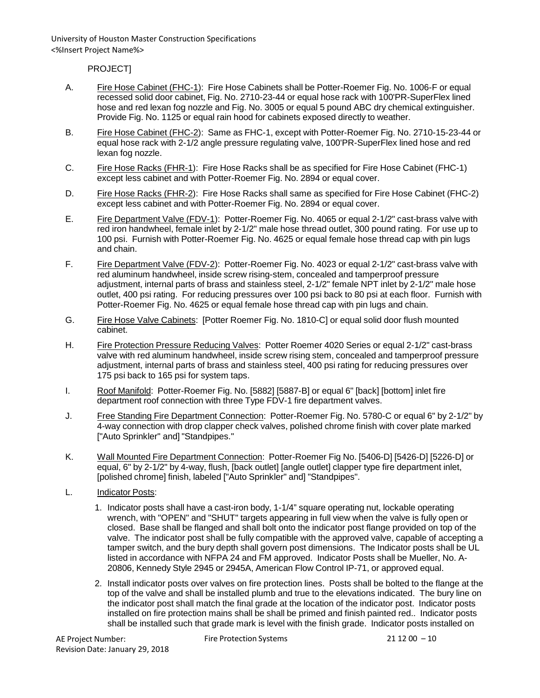PROJECT]

- A. Fire Hose Cabinet (FHC-1): Fire Hose Cabinets shall be Potter-Roemer Fig. No. 1006-F or equal recessed solid door cabinet, Fig. No. 2710-23-44 or equal hose rack with 100'PR-SuperFlex lined hose and red lexan fog nozzle and Fig. No. 3005 or equal 5 pound ABC dry chemical extinguisher. Provide Fig. No. 1125 or equal rain hood for cabinets exposed directly to weather.
- B. Fire Hose Cabinet (FHC-2): Same as FHC-1, except with Potter-Roemer Fig. No. 2710-15-23-44 or equal hose rack with 2-1/2 angle pressure regulating valve, 100'PR-SuperFlex lined hose and red lexan fog nozzle.
- C. Fire Hose Racks (FHR-1): Fire Hose Racks shall be as specified for Fire Hose Cabinet (FHC-1) except less cabinet and with Potter-Roemer Fig. No. 2894 or equal cover.
- D. Fire Hose Racks (FHR-2): Fire Hose Racks shall same as specified for Fire Hose Cabinet (FHC-2) except less cabinet and with Potter-Roemer Fig. No. 2894 or equal cover.
- E. Fire Department Valve (FDV-1): Potter-Roemer Fig. No. 4065 or equal 2-1/2" cast-brass valve with red iron handwheel, female inlet by 2-1/2" male hose thread outlet, 300 pound rating. For use up to 100 psi. Furnish with Potter-Roemer Fig. No. 4625 or equal female hose thread cap with pin lugs and chain.
- F. Fire Department Valve (FDV-2): Potter-Roemer Fig. No. 4023 or equal 2-1/2" cast-brass valve with red aluminum handwheel, inside screw rising-stem, concealed and tamperproof pressure adjustment, internal parts of brass and stainless steel, 2-1/2" female NPT inlet by 2-1/2" male hose outlet, 400 psi rating. For reducing pressures over 100 psi back to 80 psi at each floor. Furnish with Potter-Roemer Fig. No. 4625 or equal female hose thread cap with pin lugs and chain.
- G. Fire Hose Valve Cabinets: [Potter Roemer Fig. No. 1810-C] or equal solid door flush mounted cabinet.
- H. Fire Protection Pressure Reducing Valves: Potter Roemer 4020 Series or equal 2-1/2" cast-brass valve with red aluminum handwheel, inside screw rising stem, concealed and tamperproof pressure adjustment, internal parts of brass and stainless steel, 400 psi rating for reducing pressures over 175 psi back to 165 psi for system taps.
- I. Roof Manifold: Potter-Roemer Fig. No. [5882] [5887-B] or equal 6" [back] [bottom] inlet fire department roof connection with three Type FDV-1 fire department valves.
- J. Free Standing Fire Department Connection: Potter-Roemer Fig. No. 5780-C or equal 6" by 2-1/2" by 4-way connection with drop clapper check valves, polished chrome finish with cover plate marked ["Auto Sprinkler" and] "Standpipes."
- K. Wall Mounted Fire Department Connection: Potter-Roemer Fig No. [5406-D] [5426-D] [5226-D] or equal, 6" by 2-1/2" by 4-way, flush, [back outlet] [angle outlet] clapper type fire department inlet, [polished chrome] finish, labeled ["Auto Sprinkler" and] "Standpipes".
- L. Indicator Posts:
	- 1. Indicator posts shall have a cast-iron body, 1-1/4" square operating nut, lockable operating wrench, with "OPEN" and "SHUT" targets appearing in full view when the valve is fully open or closed. Base shall be flanged and shall bolt onto the indicator post flange provided on top of the valve. The indicator post shall be fully compatible with the approved valve, capable of accepting a tamper switch, and the bury depth shall govern post dimensions. The Indicator posts shall be UL listed in accordance with NFPA 24 and FM approved. Indicator Posts shall be Mueller, No. A-20806, Kennedy Style 2945 or 2945A, American Flow Control IP-71, or approved equal.
	- 2. Install indicator posts over valves on fire protection lines. Posts shall be bolted to the flange at the top of the valve and shall be installed plumb and true to the elevations indicated. The bury line on the indicator post shall match the final grade at the location of the indicator post. Indicator posts installed on fire protection mains shall be shall be primed and finish painted red.. Indicator posts shall be installed such that grade mark is level with the finish grade. Indicator posts installed on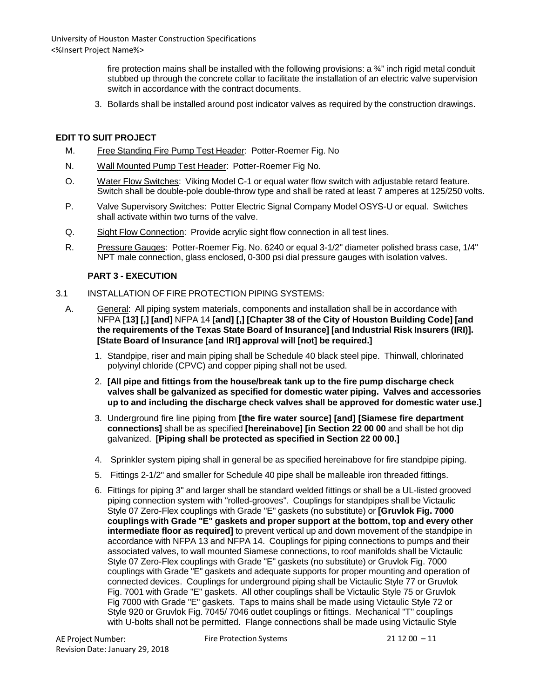> fire protection mains shall be installed with the following provisions: a  $\frac{3}{4}$ " inch rigid metal conduit stubbed up through the concrete collar to facilitate the installation of an electric valve supervision switch in accordance with the contract documents.

3. Bollards shall be installed around post indicator valves as required by the construction drawings.

### **EDIT TO SUIT PROJECT**

- M. Free Standing Fire Pump Test Header: Potter-Roemer Fig. No
- N. Wall Mounted Pump Test Header: Potter-Roemer Fig No.
- O. Water Flow Switches: Viking Model C-1 or equal water flow switch with adjustable retard feature. Switch shall be double-pole double-throw type and shall be rated at least 7 amperes at 125/250 volts.
- P. Valve Supervisory Switches: Potter Electric Signal Company Model OSYS-U or equal. Switches shall activate within two turns of the valve.
- Q. Sight Flow Connection: Provide acrylic sight flow connection in all test lines.
- R. Pressure Gauges: Potter-Roemer Fig. No. 6240 or equal 3-1/2" diameter polished brass case, 1/4" NPT male connection, glass enclosed, 0-300 psi dial pressure gauges with isolation valves.

### **PART 3 - EXECUTION**

- 3.1 INSTALLATION OF FIRE PROTECTION PIPING SYSTEMS:
	- A. General: All piping system materials, components and installation shall be in accordance with NFPA **[13] [,] [and]** NFPA 14 **[and] [,] [Chapter 38 of the City of Houston Building Code] [and the requirements of the Texas State Board of Insurance] [and Industrial Risk Insurers (IRI)]. [State Board of Insurance [and IRI] approval will [not] be required.]**
		- 1. Standpipe, riser and main piping shall be Schedule 40 black steel pipe. Thinwall, chlorinated polyvinyl chloride (CPVC) and copper piping shall not be used.
		- 2. **[All pipe and fittings from the house/break tank up to the fire pump discharge check valves shall be galvanized as specified for domestic water piping. Valves and accessories up to and including the discharge check valves shall be approved for domestic water use.]**
		- 3. Underground fire line piping from **[the fire water source] [and] [Siamese fire department connections]** shall be as specified **[hereinabove] [in Section 22 00 00** and shall be hot dip galvanized. **[Piping shall be protected as specified in Section 22 00 00.]**
		- 4. Sprinkler system piping shall in general be as specified hereinabove for fire standpipe piping.
		- 5. Fittings 2-1/2" and smaller for Schedule 40 pipe shall be malleable iron threaded fittings.
		- 6. Fittings for piping 3" and larger shall be standard welded fittings or shall be a UL-listed grooved piping connection system with "rolled-grooves". Couplings for standpipes shall be Victaulic Style 07 Zero-Flex couplings with Grade "E" gaskets (no substitute) or **[Gruvlok Fig. 7000 couplings with Grade "E" gaskets and proper support at the bottom, top and every other intermediate floor as required]** to prevent vertical up and down movement of the standpipe in accordance with NFPA 13 and NFPA 14. Couplings for piping connections to pumps and their associated valves, to wall mounted Siamese connections, to roof manifolds shall be Victaulic Style 07 Zero-Flex couplings with Grade "E" gaskets (no substitute) or Gruvlok Fig. 7000 couplings with Grade "E" gaskets and adequate supports for proper mounting and operation of connected devices. Couplings for underground piping shall be Victaulic Style 77 or Gruvlok Fig. 7001 with Grade "E" gaskets. All other couplings shall be Victaulic Style 75 or Gruvlok Fig 7000 with Grade "E" gaskets. Taps to mains shall be made using Victaulic Style 72 or Style 920 or Gruvlok Fig. 7045/ 7046 outlet couplings or fittings. Mechanical "T" couplings with U-bolts shall not be permitted. Flange connections shall be made using Victaulic Style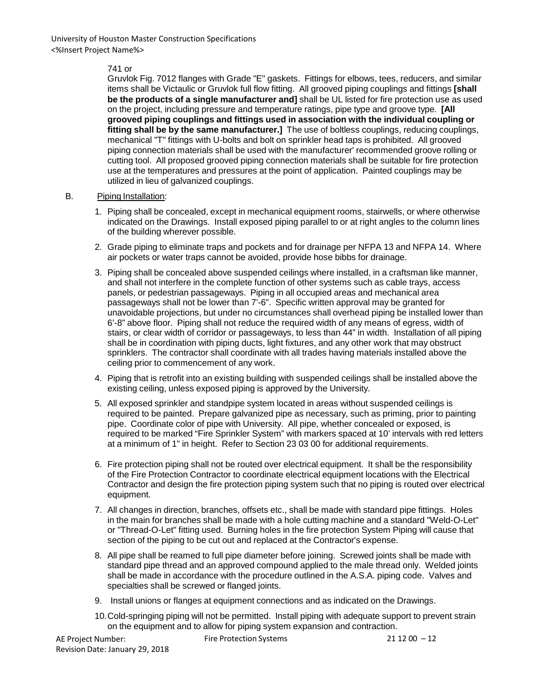### 741 or

Gruvlok Fig. 7012 flanges with Grade "E" gaskets. Fittings for elbows, tees, reducers, and similar items shall be Victaulic or Gruvlok full flow fitting. All grooved piping couplings and fittings **[shall be the products of a single manufacturer and]** shall be UL listed for fire protection use as used on the project, including pressure and temperature ratings, pipe type and groove type. **[All grooved piping couplings and fittings used in association with the individual coupling or fitting shall be by the same manufacturer.]** The use of boltless couplings, reducing couplings, mechanical "T" fittings with U-bolts and bolt on sprinkler head taps is prohibited. All grooved piping connection materials shall be used with the manufacturer' recommended groove rolling or cutting tool. All proposed grooved piping connection materials shall be suitable for fire protection use at the temperatures and pressures at the point of application. Painted couplings may be utilized in lieu of galvanized couplings.

### B. Piping Installation:

- 1. Piping shall be concealed, except in mechanical equipment rooms, stairwells, or where otherwise indicated on the Drawings. Install exposed piping parallel to or at right angles to the column lines of the building wherever possible.
- 2. Grade piping to eliminate traps and pockets and for drainage per NFPA 13 and NFPA 14. Where air pockets or water traps cannot be avoided, provide hose bibbs for drainage.
- 3. Piping shall be concealed above suspended ceilings where installed, in a craftsman like manner, and shall not interfere in the complete function of other systems such as cable trays, access panels, or pedestrian passageways. Piping in all occupied areas and mechanical area passageways shall not be lower than 7'-6". Specific written approval may be granted for unavoidable projections, but under no circumstances shall overhead piping be installed lower than 6'-8" above floor. Piping shall not reduce the required width of any means of egress, width of stairs, or clear width of corridor or passageways, to less than 44" in width. Installation of all piping shall be in coordination with piping ducts, light fixtures, and any other work that may obstruct sprinklers. The contractor shall coordinate with all trades having materials installed above the ceiling prior to commencement of any work.
- 4. Piping that is retrofit into an existing building with suspended ceilings shall be installed above the existing ceiling, unless exposed piping is approved by the University.
- 5. All exposed sprinkler and standpipe system located in areas without suspended ceilings is required to be painted. Prepare galvanized pipe as necessary, such as priming, prior to painting pipe. Coordinate color of pipe with University. All pipe, whether concealed or exposed, is required to be marked "Fire Sprinkler System" with markers spaced at 10' intervals with red letters at a minimum of 1" in height. Refer to Section 23 03 00 for additional requirements.
- 6. Fire protection piping shall not be routed over electrical equipment. It shall be the responsibility of the Fire Protection Contractor to coordinate electrical equipment locations with the Electrical Contractor and design the fire protection piping system such that no piping is routed over electrical equipment.
- 7. All changes in direction, branches, offsets etc., shall be made with standard pipe fittings. Holes in the main for branches shall be made with a hole cutting machine and a standard "Weld-O-Let" or "Thread-O-Let" fitting used. Burning holes in the fire protection System Piping will cause that section of the piping to be cut out and replaced at the Contractor's expense.
- 8. All pipe shall be reamed to full pipe diameter before joining. Screwed joints shall be made with standard pipe thread and an approved compound applied to the male thread only. Welded joints shall be made in accordance with the procedure outlined in the A.S.A. piping code. Valves and specialties shall be screwed or flanged joints.
- 9. Install unions or flanges at equipment connections and as indicated on the Drawings.
- 10.Cold-springing piping will not be permitted. Install piping with adequate support to prevent strain on the equipment and to allow for piping system expansion and contraction.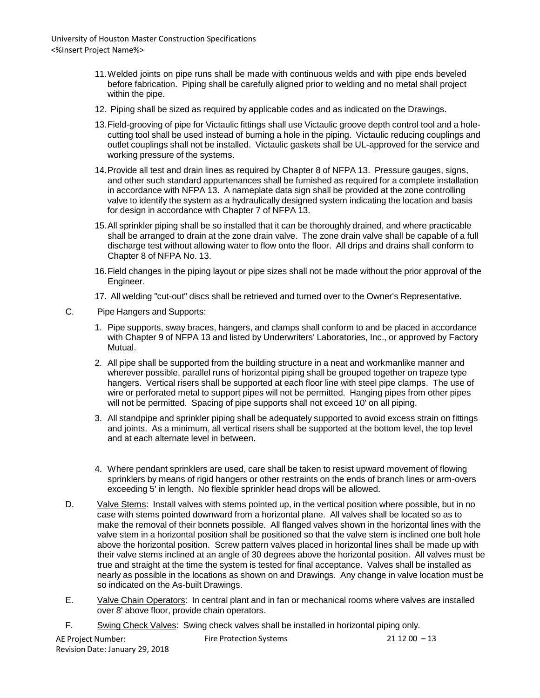- 11.Welded joints on pipe runs shall be made with continuous welds and with pipe ends beveled before fabrication. Piping shall be carefully aligned prior to welding and no metal shall project within the pipe.
- 12. Piping shall be sized as required by applicable codes and as indicated on the Drawings.
- 13.Field-grooving of pipe for Victaulic fittings shall use Victaulic groove depth control tool and a holecutting tool shall be used instead of burning a hole in the piping. Victaulic reducing couplings and outlet couplings shall not be installed. Victaulic gaskets shall be UL-approved for the service and working pressure of the systems.
- 14.Provide all test and drain lines as required by Chapter 8 of NFPA 13. Pressure gauges, signs, and other such standard appurtenances shall be furnished as required for a complete installation in accordance with NFPA 13. A nameplate data sign shall be provided at the zone controlling valve to identify the system as a hydraulically designed system indicating the location and basis for design in accordance with Chapter 7 of NFPA 13.
- 15.All sprinkler piping shall be so installed that it can be thoroughly drained, and where practicable shall be arranged to drain at the zone drain valve. The zone drain valve shall be capable of a full discharge test without allowing water to flow onto the floor. All drips and drains shall conform to Chapter 8 of NFPA No. 13.
- 16.Field changes in the piping layout or pipe sizes shall not be made without the prior approval of the Engineer.
- 17. All welding "cut-out" discs shall be retrieved and turned over to the Owner's Representative.
- C. Pipe Hangers and Supports:
	- 1. Pipe supports, sway braces, hangers, and clamps shall conform to and be placed in accordance with Chapter 9 of NFPA 13 and listed by Underwriters' Laboratories, Inc., or approved by Factory Mutual.
	- 2. All pipe shall be supported from the building structure in a neat and workmanlike manner and wherever possible, parallel runs of horizontal piping shall be grouped together on trapeze type hangers. Vertical risers shall be supported at each floor line with steel pipe clamps. The use of wire or perforated metal to support pipes will not be permitted. Hanging pipes from other pipes will not be permitted. Spacing of pipe supports shall not exceed 10' on all piping.
	- 3. All standpipe and sprinkler piping shall be adequately supported to avoid excess strain on fittings and joints. As a minimum, all vertical risers shall be supported at the bottom level, the top level and at each alternate level in between.
	- 4. Where pendant sprinklers are used, care shall be taken to resist upward movement of flowing sprinklers by means of rigid hangers or other restraints on the ends of branch lines or arm-overs exceeding 5' in length. No flexible sprinkler head drops will be allowed.
- D. Valve Stems: Install valves with stems pointed up, in the vertical position where possible, but in no case with stems pointed downward from a horizontal plane. All valves shall be located so as to make the removal of their bonnets possible. All flanged valves shown in the horizontal lines with the valve stem in a horizontal position shall be positioned so that the valve stem is inclined one bolt hole above the horizontal position. Screw pattern valves placed in horizontal lines shall be made up with their valve stems inclined at an angle of 30 degrees above the horizontal position. All valves must be true and straight at the time the system is tested for final acceptance. Valves shall be installed as nearly as possible in the locations as shown on and Drawings. Any change in valve location must be so indicated on the As-built Drawings.
- E. Valve Chain Operators: In central plant and in fan or mechanical rooms where valves are installed over 8' above floor, provide chain operators.
- F. Swing Check Valves: Swing check valves shall be installed in horizontal piping only.

| AE Project Number:              | <b>Fire Protection Systems</b> | $211200 - 13$ |
|---------------------------------|--------------------------------|---------------|
| Revision Date: January 29, 2018 |                                |               |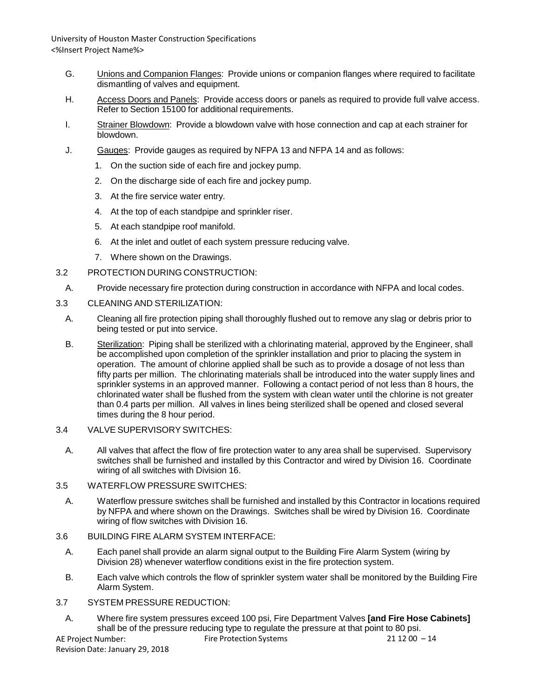- G. Unions and Companion Flanges: Provide unions or companion flanges where required to facilitate dismantling of valves and equipment.
- H. Access Doors and Panels: Provide access doors or panels as required to provide full valve access. Refer to Section 15100 for additional requirements.
- I. Strainer Blowdown: Provide a blowdown valve with hose connection and cap at each strainer for blowdown.
- J. Gauges: Provide gauges as required by NFPA 13 and NFPA 14 and as follows:
	- 1. On the suction side of each fire and jockey pump.
	- 2. On the discharge side of each fire and jockey pump.
	- 3. At the fire service water entry.
	- 4. At the top of each standpipe and sprinkler riser.
	- 5. At each standpipe roof manifold.
	- 6. At the inlet and outlet of each system pressure reducing valve.
	- 7. Where shown on the Drawings.
- 3.2 PROTECTION DURING CONSTRUCTION:
- A. Provide necessary fire protection during construction in accordance with NFPA and local codes.
- 3.3 CLEANING AND STERILIZATION:
	- A. Cleaning all fire protection piping shall thoroughly flushed out to remove any slag or debris prior to being tested or put into service.
	- B. Sterilization: Piping shall be sterilized with a chlorinating material, approved by the Engineer, shall be accomplished upon completion of the sprinkler installation and prior to placing the system in operation. The amount of chlorine applied shall be such as to provide a dosage of not less than fifty parts per million. The chlorinating materials shall be introduced into the water supply lines and sprinkler systems in an approved manner. Following a contact period of not less than 8 hours, the chlorinated water shall be flushed from the system with clean water until the chlorine is not greater than 0.4 parts per million. All valves in lines being sterilized shall be opened and closed several times during the 8 hour period.
- 3.4 VALVE SUPERVISORY SWITCHES:
	- A. All valves that affect the flow of fire protection water to any area shall be supervised. Supervisory switches shall be furnished and installed by this Contractor and wired by Division 16. Coordinate wiring of all switches with Division 16.
- 3.5 WATERFLOW PRESSURE SWITCHES:
	- A. Waterflow pressure switches shall be furnished and installed by this Contractor in locations required by NFPA and where shown on the Drawings. Switches shall be wired by Division 16. Coordinate wiring of flow switches with Division 16.
- 3.6 BUILDING FIRE ALARM SYSTEM INTERFACE:
	- A. Each panel shall provide an alarm signal output to the Building Fire Alarm System (wiring by Division 28) whenever waterflow conditions exist in the fire protection system.
	- B. Each valve which controls the flow of sprinkler system water shall be monitored by the Building Fire Alarm System.
- 3.7 SYSTEM PRESSURE REDUCTION:
	- A. Where fire system pressures exceed 100 psi, Fire Department Valves **[and Fire Hose Cabinets]** shall be of the pressure reducing type to regulate the pressure at that point to 80 psi.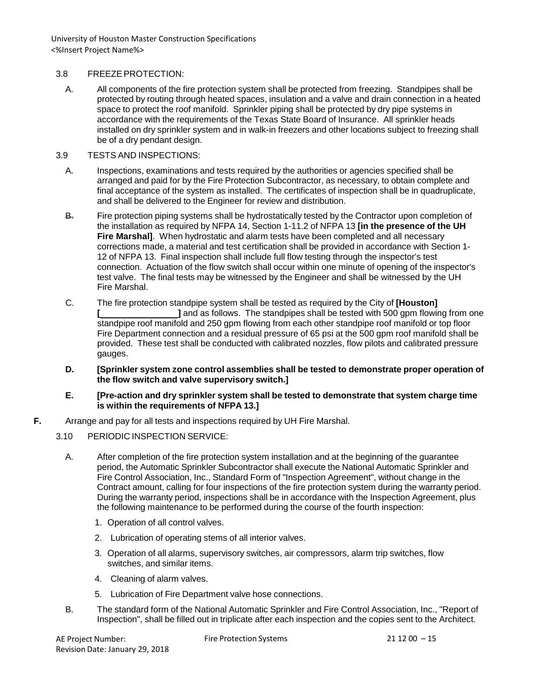### 3.8 FREEZEPROTECTION:

A. All components of the fire protection system shall be protected from freezing. Standpipes shall be protected by routing through heated spaces, insulation and a valve and drain connection in a heated space to protect the roof manifold. Sprinkler piping shall be protected by dry pipe systems in accordance with the requirements of the Texas State Board of Insurance. All sprinkler heads installed on dry sprinkler system and in walk-in freezers and other locations subject to freezing shall be of a dry pendant design.

### 3.9 TESTS AND INSPECTIONS:

- A. Inspections, examinations and tests required by the authorities or agencies specified shall be arranged and paid for by the Fire Protection Subcontractor, as necessary, to obtain complete and final acceptance of the system as installed. The certificates of inspection shall be in quadruplicate, and shall be delivered to the Engineer for review and distribution.
- B. Fire protection piping systems shall be hydrostatically tested by the Contractor upon completion of the installation as required by NFPA 14, Section 1-11.2 of NFPA 13 **[in the presence of the UH Fire Marshal]**. When hydrostatic and alarm tests have been completed and all necessary corrections made, a material and test certification shall be provided in accordance with Section 1- 12 of NFPA 13. Final inspection shall include full flow testing through the inspector's test connection. Actuation of the flow switch shall occur within one minute of opening of the inspector's test valve. The final tests may be witnessed by the Engineer and shall be witnessed by the UH Fire Marshal.
- C. The fire protection standpipe system shall be tested as required by the City of **[Houston] [ ]** and as follows. The standpipes shall be tested with 500 gpm flowing from one standpipe roof manifold and 250 gpm flowing from each other standpipe roof manifold or top floor Fire Department connection and a residual pressure of 65 psi at the 500 gpm roof manifold shall be provided. These test shall be conducted with calibrated nozzles, flow pilots and calibrated pressure gauges.
- **D. [Sprinkler system zone control assemblies shall be tested to demonstrate proper operation of the flow switch and valve supervisory switch.]**
- **E. [Pre-action and dry sprinkler system shall be tested to demonstrate that system charge time is within the requirements of NFPA 13.]**
- **F.** Arrange and pay for all tests and inspections required by UH Fire Marshal.
	- 3.10 PERIODIC INSPECTION SERVICE:
		- A. After completion of the fire protection system installation and at the beginning of the guarantee period, the Automatic Sprinkler Subcontractor shall execute the National Automatic Sprinkler and Fire Control Association, Inc., Standard Form of "Inspection Agreement", without change in the Contract amount, calling for four inspections of the fire protection system during the warranty period. During the warranty period, inspections shall be in accordance with the Inspection Agreement, plus the following maintenance to be performed during the course of the fourth inspection:
			- 1. Operation of all control valves.
			- 2. Lubrication of operating stems of all interior valves.
			- 3. Operation of all alarms, supervisory switches, air compressors, alarm trip switches, flow switches, and similar items.
			- 4. Cleaning of alarm valves.
			- 5. Lubrication of Fire Department valve hose connections.
		- B. The standard form of the National Automatic Sprinkler and Fire Control Association, Inc., "Report of Inspection", shall be filled out in triplicate after each inspection and the copies sent to the Architect.